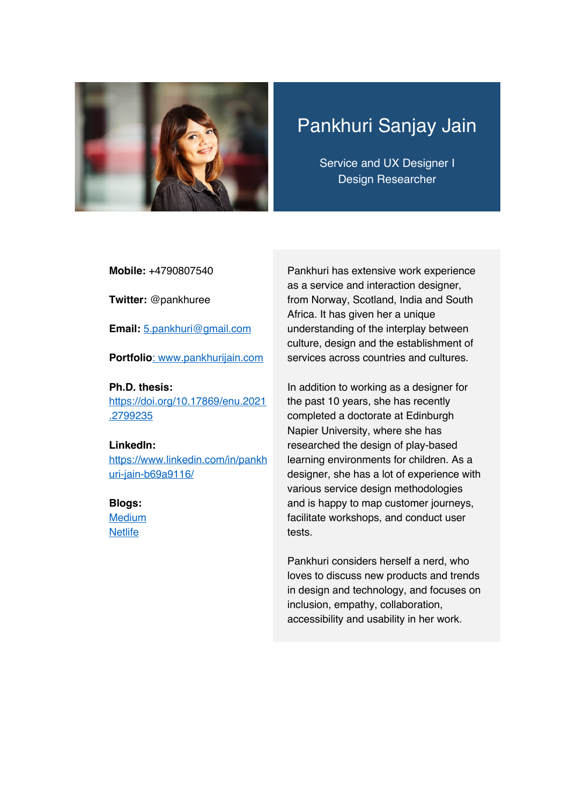

# Pankhuri Sanjay Jain

Service and UX Designer I Design Researcher

**Mobile:** +4790807540

**Twitter:** @pankhuree

**Email:** 5.pankhuri@gmail.com

**Portfolio**: www.pankhurijain.com

**Ph.D. thesis:**  https://doi.org/10.17869/enu.2021 .2799235

#### **LinkedIn:**

https://www.linkedin.com/in/pankh uri-jain-b69a9116/

#### **Blogs:**

**Medium Netlife** 

Pankhuri has extensive work experience as a service and interaction designer, from Norway, Scotland, India and South Africa. It has given her a unique understanding of the interplay between culture, design and the establishment of services across countries and cultures.

In addition to working as a designer for the past 10 years, she has recently completed a doctorate at Edinburgh Napier University, where she has researched the design of play-based learning environments for children. As a designer, she has a lot of experience with various service design methodologies and is happy to map customer journeys, facilitate workshops, and conduct user tests.

Pankhuri considers herself a nerd, who loves to discuss new products and trends in design and technology, and focuses on inclusion, empathy, collaboration, accessibility and usability in her work.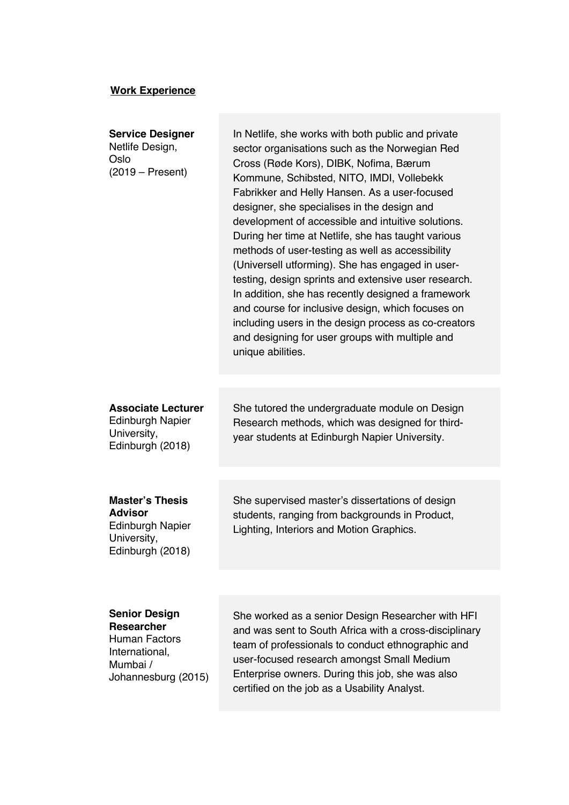### **Work Experience**

| <b>Service Designer</b><br>Netlife Design,<br>Oslo<br>$(2019 - Present)$                        | In Netlife, she works with both public and private<br>sector organisations such as the Norwegian Red<br>Cross (Røde Kors), DIBK, Nofima, Bærum<br>Kommune, Schibsted, NITO, IMDI, Vollebekk<br>Fabrikker and Helly Hansen. As a user-focused<br>designer, she specialises in the design and<br>development of accessible and intuitive solutions.<br>During her time at Netlife, she has taught various<br>methods of user-testing as well as accessibility<br>(Universell utforming). She has engaged in user-<br>testing, design sprints and extensive user research.<br>In addition, she has recently designed a framework<br>and course for inclusive design, which focuses on<br>including users in the design process as co-creators<br>and designing for user groups with multiple and<br>unique abilities. |
|-------------------------------------------------------------------------------------------------|--------------------------------------------------------------------------------------------------------------------------------------------------------------------------------------------------------------------------------------------------------------------------------------------------------------------------------------------------------------------------------------------------------------------------------------------------------------------------------------------------------------------------------------------------------------------------------------------------------------------------------------------------------------------------------------------------------------------------------------------------------------------------------------------------------------------|
| <b>Associate Lecturer</b><br><b>Edinburgh Napier</b><br>University,<br>Edinburgh (2018)         | She tutored the undergraduate module on Design<br>Research methods, which was designed for third-<br>year students at Edinburgh Napier University.                                                                                                                                                                                                                                                                                                                                                                                                                                                                                                                                                                                                                                                                 |
| <b>Master's Thesis</b><br>Advisor<br><b>Edinburgh Napier</b><br>University,<br>Edinburgh (2018) | She supervised master's dissertations of design<br>students, ranging from backgrounds in Product,<br>Lighting, Interiors and Motion Graphics.                                                                                                                                                                                                                                                                                                                                                                                                                                                                                                                                                                                                                                                                      |
| Sanior Daeign                                                                                   | Che wested en a conies Decise Descessbes with UE                                                                                                                                                                                                                                                                                                                                                                                                                                                                                                                                                                                                                                                                                                                                                                   |

#### **Senior Design**

**Researcher** Human Factors International, Mumbai / Johannesburg (2015) She worked as a senior Design Researcher with HFI and was sent to South Africa with a cross-disciplinary team of professionals to conduct ethnographic and user-focused research amongst Small Medium Enterprise owners. During this job, she was also certified on the job as a Usability Analyst.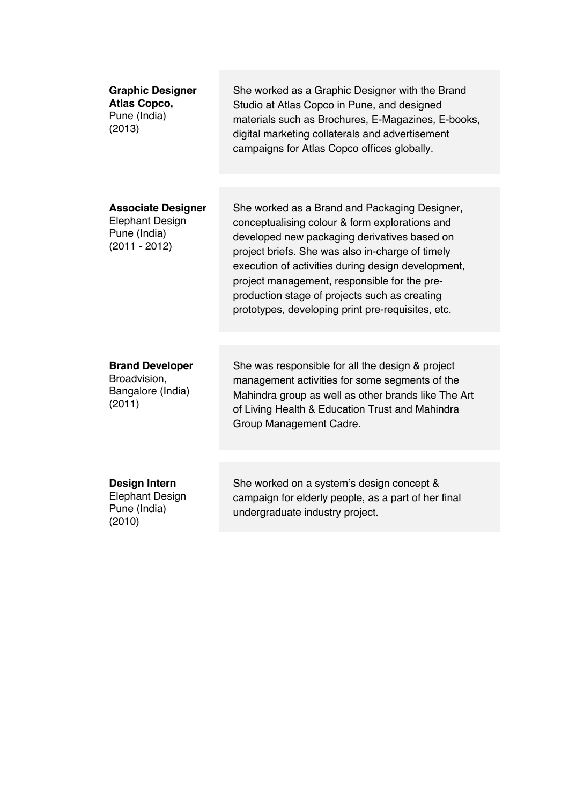| <b>Graphic Designer</b><br>Atlas Copco,<br>Pune (India)<br>(2013)                      | She worked as a Graphic Designer with the Brand<br>Studio at Atlas Copco in Pune, and designed<br>materials such as Brochures, E-Magazines, E-books,<br>digital marketing collaterals and advertisement<br>campaigns for Atlas Copco offices globally.                                                                                                                                                          |
|----------------------------------------------------------------------------------------|-----------------------------------------------------------------------------------------------------------------------------------------------------------------------------------------------------------------------------------------------------------------------------------------------------------------------------------------------------------------------------------------------------------------|
|                                                                                        |                                                                                                                                                                                                                                                                                                                                                                                                                 |
| <b>Associate Designer</b><br><b>Elephant Design</b><br>Pune (India)<br>$(2011 - 2012)$ | She worked as a Brand and Packaging Designer,<br>conceptualising colour & form explorations and<br>developed new packaging derivatives based on<br>project briefs. She was also in-charge of timely<br>execution of activities during design development,<br>project management, responsible for the pre-<br>production stage of projects such as creating<br>prototypes, developing print pre-requisites, etc. |
|                                                                                        |                                                                                                                                                                                                                                                                                                                                                                                                                 |
| <b>Brand Developer</b><br>Broadvision,<br>Bangalore (India)<br>(2011)                  | She was responsible for all the design & project<br>management activities for some segments of the<br>Mahindra group as well as other brands like The Art<br>of Living Health & Education Trust and Mahindra<br>Group Management Cadre.                                                                                                                                                                         |
|                                                                                        |                                                                                                                                                                                                                                                                                                                                                                                                                 |
| Design Intern<br><b>Elephant Design</b><br>Pune (India)<br>(2010)                      | She worked on a system's design concept &<br>campaign for elderly people, as a part of her final<br>undergraduate industry project.                                                                                                                                                                                                                                                                             |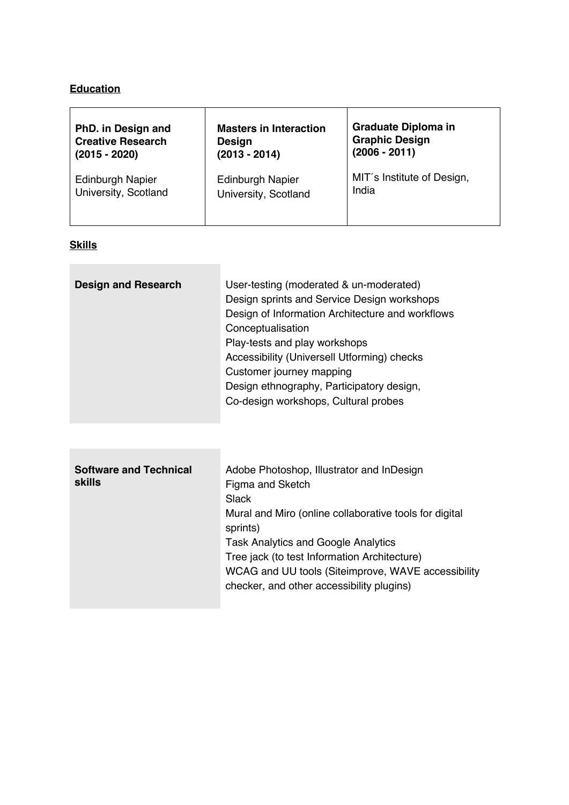# **Education**

| PhD. in Design and       | <b>Masters in Interaction</b> | <b>Graduate Diploma in</b> |
|--------------------------|-------------------------------|----------------------------|
| <b>Creative Research</b> | <b>Design</b>                 | <b>Graphic Design</b>      |
| $(2015 - 2020)$          | $(2013 - 2014)$               | $(2006 - 2011)$            |
| <b>Edinburgh Napier</b>  | <b>Edinburgh Napier</b>       | MIT's Institute of Design, |
| University, Scotland     | University, Scotland          | India                      |

## **Skills**

the control of the control of the con-

| <b>Design and Research</b> | User-testing (moderated & un-moderated)<br>Design sprints and Service Design workshops<br>Design of Information Architecture and workflows<br>Conceptualisation<br>Play-tests and play workshops<br>Accessibility (Universell Utforming) checks<br>Customer journey mapping<br>Design ethnography, Participatory design,<br>Co-design workshops, Cultural probes |
|----------------------------|------------------------------------------------------------------------------------------------------------------------------------------------------------------------------------------------------------------------------------------------------------------------------------------------------------------------------------------------------------------|
|                            |                                                                                                                                                                                                                                                                                                                                                                  |

| <b>Software and Technical</b><br><b>skills</b> | Adobe Photoshop, Illustrator and InDesign<br>Figma and Sketch<br>Slack<br>Mural and Miro (online collaborative tools for digital<br>sprints)<br><b>Task Analytics and Google Analytics</b><br>Tree jack (to test Information Architecture)<br>WCAG and UU tools (Siteimprove, WAVE accessibility<br>checker, and other accessibility plugins) |
|------------------------------------------------|-----------------------------------------------------------------------------------------------------------------------------------------------------------------------------------------------------------------------------------------------------------------------------------------------------------------------------------------------|
|                                                |                                                                                                                                                                                                                                                                                                                                               |